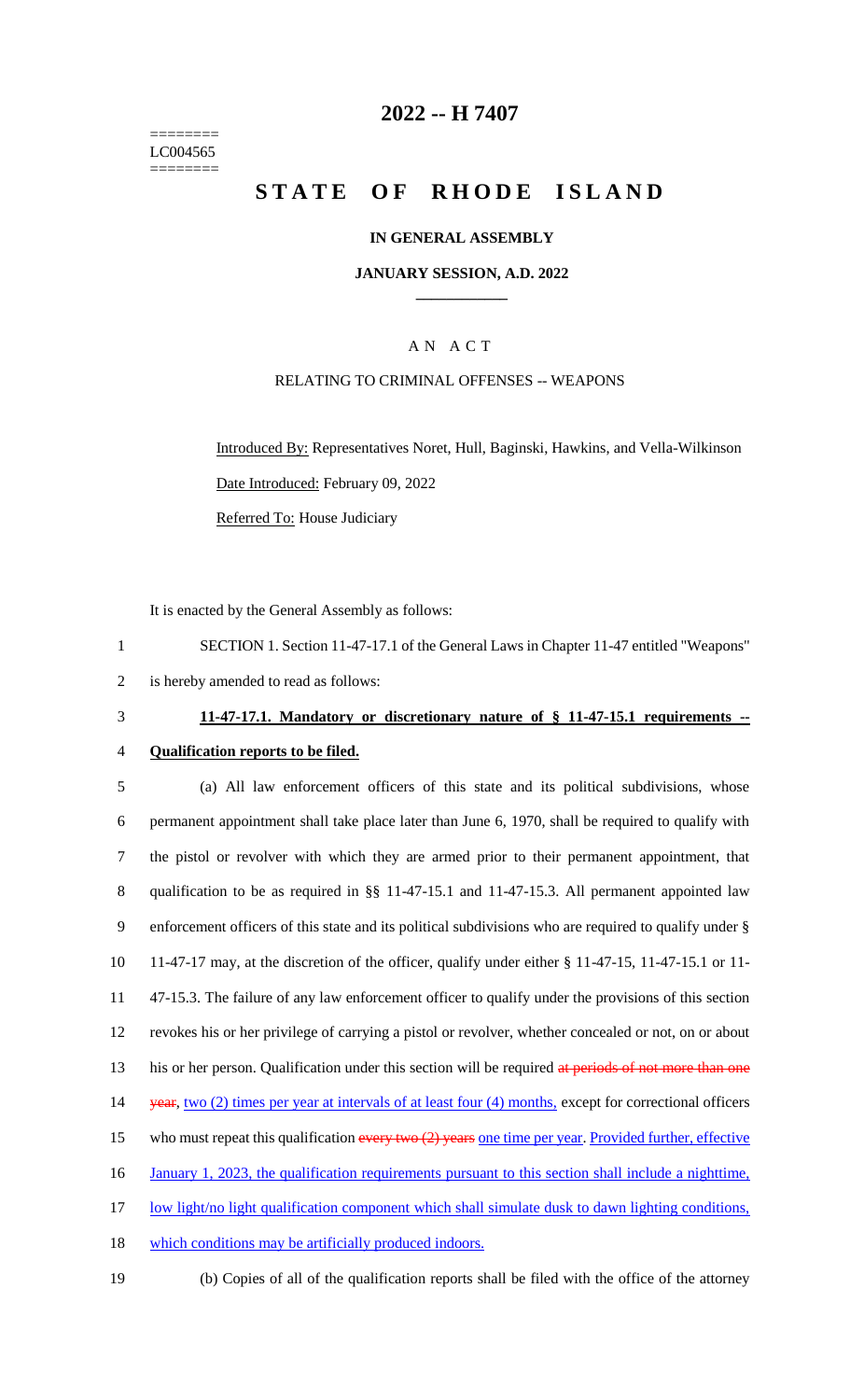======== LC004565 ========

## **2022 -- H 7407**

# **STATE OF RHODE ISLAND**

#### **IN GENERAL ASSEMBLY**

#### **JANUARY SESSION, A.D. 2022 \_\_\_\_\_\_\_\_\_\_\_\_**

## A N A C T

### RELATING TO CRIMINAL OFFENSES -- WEAPONS

Introduced By: Representatives Noret, Hull, Baginski, Hawkins, and Vella-Wilkinson Date Introduced: February 09, 2022 Referred To: House Judiciary

It is enacted by the General Assembly as follows:

1 SECTION 1. Section 11-47-17.1 of the General Laws in Chapter 11-47 entitled "Weapons" 2 is hereby amended to read as follows:

# 3 **11-47-17.1. Mandatory or discretionary nature of § 11-47-15.1 requirements --**

## 4 **Qualification reports to be filed.**

5 (a) All law enforcement officers of this state and its political subdivisions, whose 6 permanent appointment shall take place later than June 6, 1970, shall be required to qualify with 7 the pistol or revolver with which they are armed prior to their permanent appointment, that 8 qualification to be as required in §§ 11-47-15.1 and 11-47-15.3. All permanent appointed law 9 enforcement officers of this state and its political subdivisions who are required to qualify under § 10 11-47-17 may, at the discretion of the officer, qualify under either § 11-47-15, 11-47-15.1 or 11- 11 47-15.3. The failure of any law enforcement officer to qualify under the provisions of this section 12 revokes his or her privilege of carrying a pistol or revolver, whether concealed or not, on or about 13 his or her person. Qualification under this section will be required at periods of not more than one 14 year, two (2) times per year at intervals of at least four (4) months, except for correctional officers 15 who must repeat this qualification every two (2) years one time per year. Provided further, effective 16 January 1, 2023, the qualification requirements pursuant to this section shall include a nighttime, 17 low light/no light qualification component which shall simulate dusk to dawn lighting conditions, 18 which conditions may be artificially produced indoors.

19 (b) Copies of all of the qualification reports shall be filed with the office of the attorney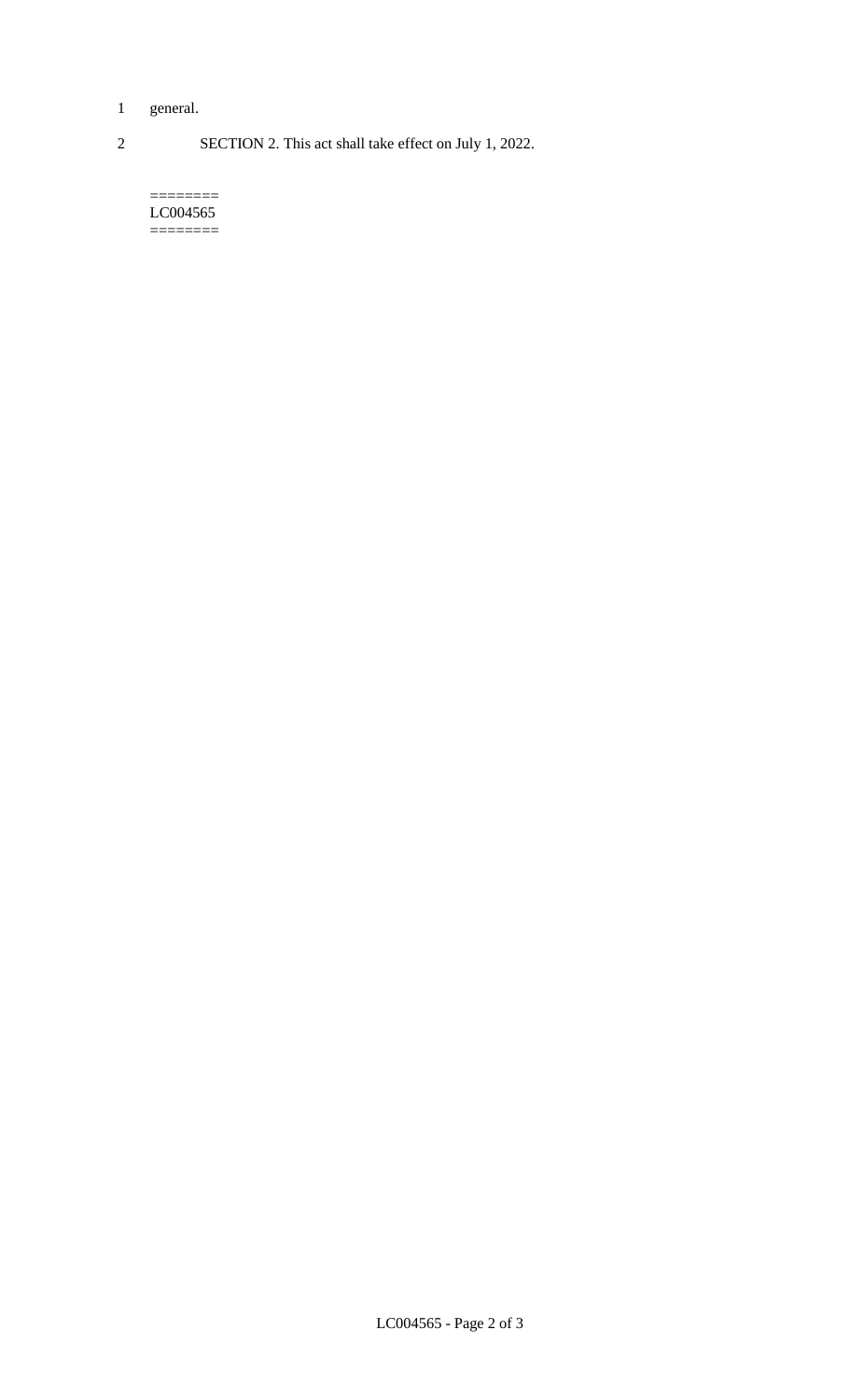- 1 general.
- 2 SECTION 2. This act shall take effect on July 1, 2022.

======== LC004565 ========